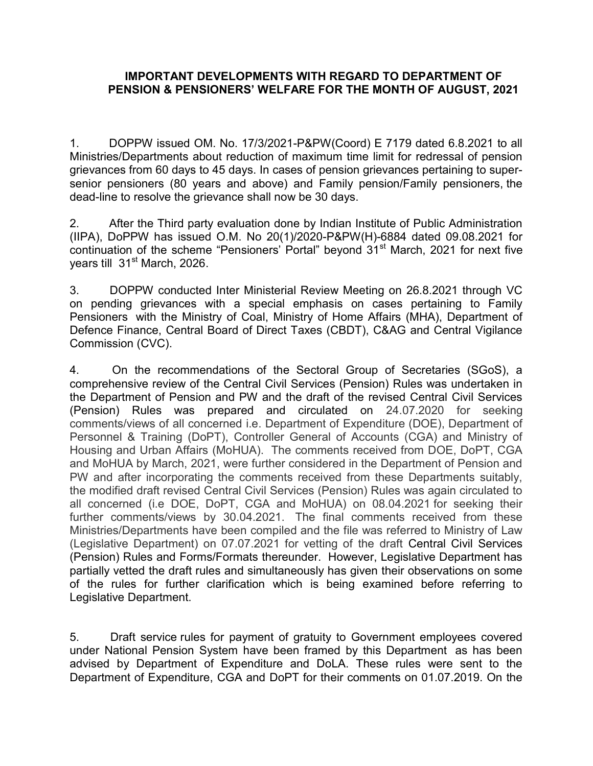## IMPORTANT DEVELOPMENTS WITH REGARD TO DEPARTMENT OF PENSION & PENSIONERS' WELFARE FOR THE MONTH OF AUGUST, 2021

1. DOPPW issued OM. No. 17/3/2021-P&PW(Coord) E 7179 dated 6.8.2021 to all Ministries/Departments about reduction of maximum time limit for redressal of pension grievances from 60 days to 45 days. In cases of pension grievances pertaining to supersenior pensioners (80 years and above) and Family pension/Family pensioners, the dead-line to resolve the grievance shall now be 30 days.

2. After the Third party evaluation done by Indian Institute of Public Administration (IIPA), DoPPW has issued O.M. No 20(1)/2020-P&PW(H)-6884 dated 09.08.2021 for continuation of the scheme "Pensioners' Portal" beyond  $31<sup>st</sup>$  March, 2021 for next five years till 31<sup>st</sup> March, 2026.

3. DOPPW conducted Inter Ministerial Review Meeting on 26.8.2021 through VC on pending grievances with a special emphasis on cases pertaining to Family Pensioners with the Ministry of Coal, Ministry of Home Affairs (MHA), Department of Defence Finance, Central Board of Direct Taxes (CBDT), C&AG and Central Vigilance Commission (CVC).

4. On the recommendations of the Sectoral Group of Secretaries (SGoS), a comprehensive review of the Central Civil Services (Pension) Rules was undertaken in the Department of Pension and PW and the draft of the revised Central Civil Services (Pension) Rules was prepared and circulated on 24.07.2020 for seeking comments/views of all concerned i.e. Department of Expenditure (DOE), Department of Personnel & Training (DoPT), Controller General of Accounts (CGA) and Ministry of Housing and Urban Affairs (MoHUA). The comments received from DOE, DoPT, CGA and MoHUA by March, 2021, were further considered in the Department of Pension and PW and after incorporating the comments received from these Departments suitably, the modified draft revised Central Civil Services (Pension) Rules was again circulated to all concerned (i.e DOE, DoPT, CGA and MoHUA) on 08.04.2021 for seeking their further comments/views by 30.04.2021. The final comments received from these Ministries/Departments have been compiled and the file was referred to Ministry of Law (Legislative Department) on 07.07.2021 for vetting of the draft Central Civil Services (Pension) Rules and Forms/Formats thereunder. However, Legislative Department has partially vetted the draft rules and simultaneously has given their observations on some of the rules for further clarification which is being examined before referring to Legislative Department.

5. Draft service rules for payment of gratuity to Government employees covered under National Pension System have been framed by this Department as has been advised by Department of Expenditure and DoLA. These rules were sent to the Department of Expenditure, CGA and DoPT for their comments on 01.07.2019. On the